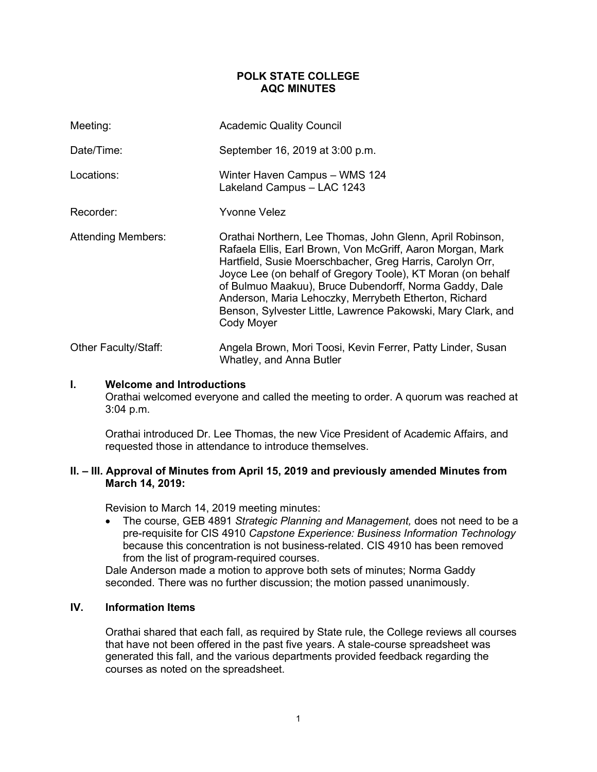## **POLK STATE COLLEGE AQC MINUTES**

| Meeting:                  | <b>Academic Quality Council</b>                                                                                                                                                                                                                                                                                                                                                                                                                      |
|---------------------------|------------------------------------------------------------------------------------------------------------------------------------------------------------------------------------------------------------------------------------------------------------------------------------------------------------------------------------------------------------------------------------------------------------------------------------------------------|
| Date/Time:                | September 16, 2019 at 3:00 p.m.                                                                                                                                                                                                                                                                                                                                                                                                                      |
| Locations:                | Winter Haven Campus - WMS 124<br>Lakeland Campus - LAC 1243                                                                                                                                                                                                                                                                                                                                                                                          |
| Recorder:                 | Yvonne Velez                                                                                                                                                                                                                                                                                                                                                                                                                                         |
| <b>Attending Members:</b> | Orathai Northern, Lee Thomas, John Glenn, April Robinson,<br>Rafaela Ellis, Earl Brown, Von McGriff, Aaron Morgan, Mark<br>Hartfield, Susie Moerschbacher, Greg Harris, Carolyn Orr,<br>Joyce Lee (on behalf of Gregory Toole), KT Moran (on behalf<br>of Bulmuo Maakuu), Bruce Dubendorff, Norma Gaddy, Dale<br>Anderson, Maria Lehoczky, Merrybeth Etherton, Richard<br>Benson, Sylvester Little, Lawrence Pakowski, Mary Clark, and<br>Cody Moyer |
| Other Faculty/Staff:      | Angela Brown, Mori Toosi, Kevin Ferrer, Patty Linder, Susan<br>Whatley, and Anna Butler                                                                                                                                                                                                                                                                                                                                                              |

## **I. Welcome and Introductions**

Orathai welcomed everyone and called the meeting to order. A quorum was reached at 3:04 p.m.

Orathai introduced Dr. Lee Thomas, the new Vice President of Academic Affairs, and requested those in attendance to introduce themselves.

## **II. – III. Approval of Minutes from April 15, 2019 and previously amended Minutes from March 14, 2019:**

Revision to March 14, 2019 meeting minutes:

• The course, GEB 4891 *Strategic Planning and Management,* does not need to be a pre-requisite for CIS 4910 *Capstone Experience: Business Information Technology* because this concentration is not business-related. CIS 4910 has been removed from the list of program-required courses.

Dale Anderson made a motion to approve both sets of minutes; Norma Gaddy seconded. There was no further discussion; the motion passed unanimously.

## **IV. Information Items**

Orathai shared that each fall, as required by State rule, the College reviews all courses that have not been offered in the past five years. A stale-course spreadsheet was generated this fall, and the various departments provided feedback regarding the courses as noted on the spreadsheet.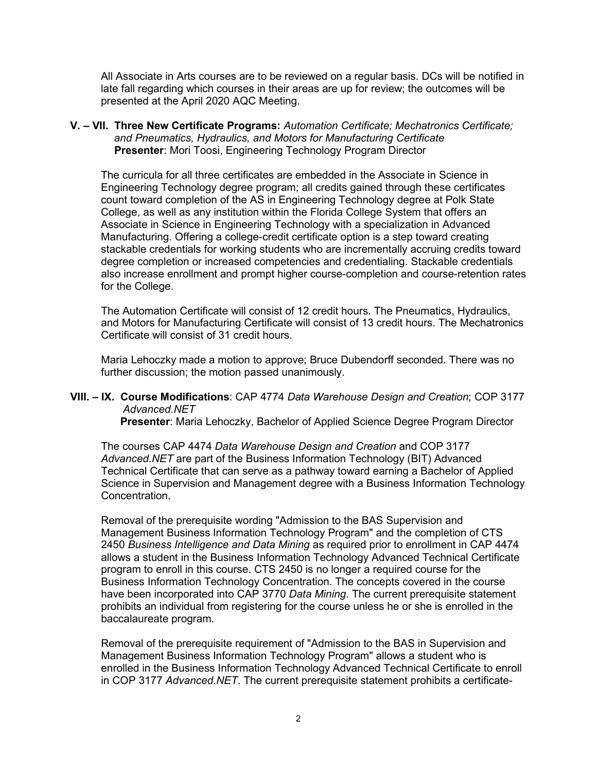All Associate in Arts courses are to be reviewed on a regular basis. DCs will be notified in late fall regarding which courses in their areas are up for review; the outcomes will be presented at the April 2020 AQC Meeting.

**V. – VII. Three New Certificate Programs:** *Automation Certificate; Mechatronics Certificate; and Pneumatics, Hydraulics, and Motors for Manufacturing Certificate*  **Presenter**: Mori Toosi, Engineering Technology Program Director

The curricula for all three certificates are embedded in the Associate in Science in Engineering Technology degree program; all credits gained through these certificates count toward completion of the AS in Engineering Technology degree at Polk State College, as well as any institution within the Florida College System that offers an Associate in Science in Engineering Technology with a specialization in Advanced Manufacturing. Offering a college-credit certificate option is a step toward creating stackable credentials for working students who are incrementally accruing credits toward degree completion or increased competencies and credentialing. Stackable credentials also increase enrollment and prompt higher course-completion and course-retention rates for the College.

The Automation Certificate will consist of 12 credit hours. The Pneumatics, Hydraulics, and Motors for Manufacturing Certificate will consist of 13 credit hours. The Mechatronics Certificate will consist of 31 credit hours.

Maria Lehoczky made a motion to approve; Bruce Dubendorff seconded. There was no further discussion; the motion passed unanimously.

# **VIII. – IX. Course Modifications**: CAP 4774 *Data Warehouse Design and Creation*; COP 3177 *Advanced.NET*

 **Presenter**: Maria Lehoczky, Bachelor of Applied Science Degree Program Director

The courses CAP 4474 *Data Warehouse Design and Creation* and COP 3177 *Advanced.NET* are part of the Business Information Technology (BIT) Advanced Technical Certificate that can serve as a pathway toward earning a Bachelor of Applied Science in Supervision and Management degree with a Business Information Technology Concentration.

Removal of the prerequisite wording "Admission to the BAS Supervision and Management Business Information Technology Program" and the completion of CTS 2450 *Business Intelligence and Data Mining* as required prior to enrollment in CAP 4474 allows a student in the Business Information Technology Advanced Technical Certificate program to enroll in this course. CTS 2450 is no longer a required course for the Business Information Technology Concentration. The concepts covered in the course have been incorporated into CAP 3770 *Data Mining*. The current prerequisite statement prohibits an individual from registering for the course unless he or she is enrolled in the baccalaureate program.

Removal of the prerequisite requirement of "Admission to the BAS in Supervision and Management Business Information Technology Program" allows a student who is enrolled in the Business Information Technology Advanced Technical Certificate to enroll in COP 3177 *Advanced.NET*. The current prerequisite statement prohibits a certificate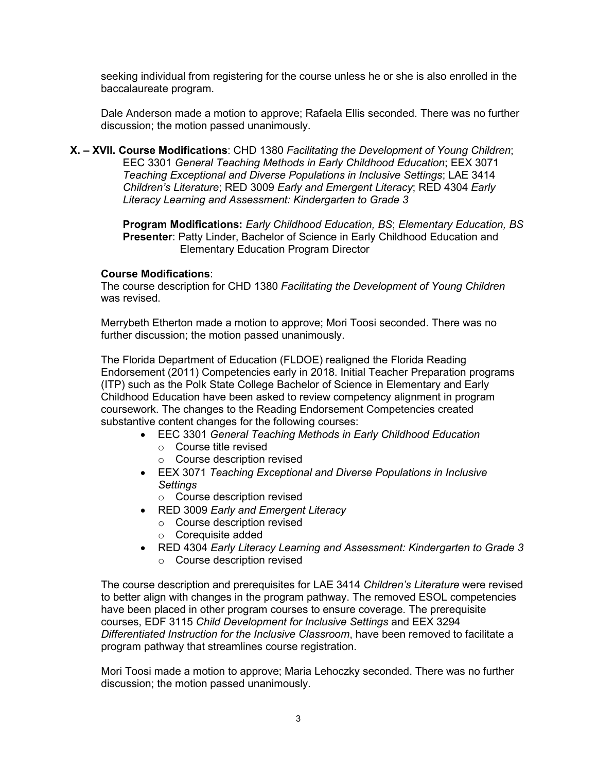seeking individual from registering for the course unless he or she is also enrolled in the baccalaureate program.

Dale Anderson made a motion to approve; Rafaela Ellis seconded. There was no further discussion; the motion passed unanimously.

**X. – XVII. Course Modifications**: CHD 1380 *Facilitating the Development of Young Children*; EEC 3301 *General Teaching Methods in Early Childhood Education*; EEX 3071 *Teaching Exceptional and Diverse Populations in Inclusive Settings*; LAE 3414 *Children's Literature*; RED 3009 *Early and Emergent Literacy*; RED 4304 *Early Literacy Learning and Assessment: Kindergarten to Grade 3*

> **Program Modifications:** *Early Childhood Education, BS*; *Elementary Education, BS* **Presenter**: Patty Linder, Bachelor of Science in Early Childhood Education and Elementary Education Program Director

### **Course Modifications**:

The course description for CHD 1380 *Facilitating the Development of Young Children* was revised.

Merrybeth Etherton made a motion to approve; Mori Toosi seconded. There was no further discussion; the motion passed unanimously.

The Florida Department of Education (FLDOE) realigned the Florida Reading Endorsement (2011) Competencies early in 2018. Initial Teacher Preparation programs (ITP) such as the Polk State College Bachelor of Science in Elementary and Early Childhood Education have been asked to review competency alignment in program coursework. The changes to the Reading Endorsement Competencies created substantive content changes for the following courses:

- EEC 3301 *General Teaching Methods in Early Childhood Education*
	- o Course title revised
	- o Course description revised
- EEX 3071 *Teaching Exceptional and Diverse Populations in Inclusive Settings*

o Course description revised

- RED 3009 *Early and Emergent Literacy*
	- o Course description revised
	- o Corequisite added
- RED 4304 *Early Literacy Learning and Assessment: Kindergarten to Grade 3* o Course description revised

The course description and prerequisites for LAE 3414 *Children's Literature* were revised to better align with changes in the program pathway. The removed ESOL competencies have been placed in other program courses to ensure coverage. The prerequisite courses, EDF 3115 *Child Development for Inclusive Settings* and EEX 3294 *Differentiated Instruction for the Inclusive Classroom*, have been removed to facilitate a program pathway that streamlines course registration.

Mori Toosi made a motion to approve; Maria Lehoczky seconded. There was no further discussion; the motion passed unanimously.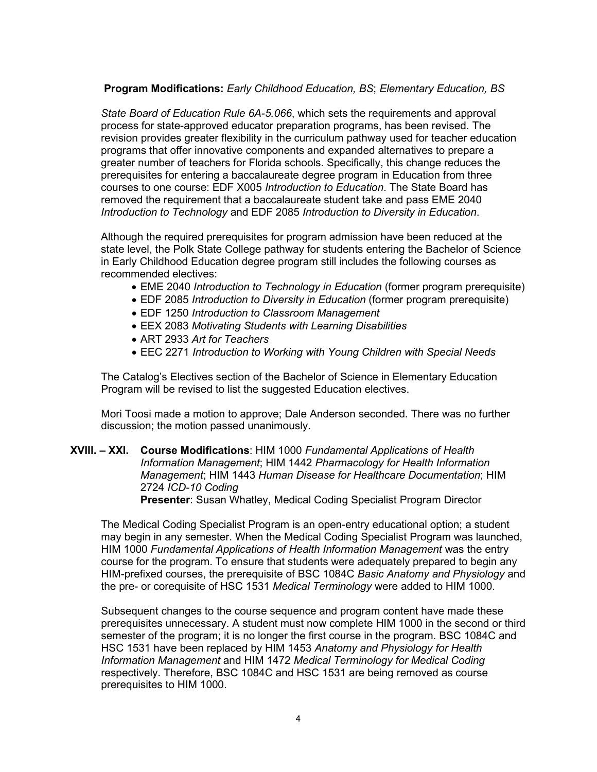# **Program Modifications:** *Early Childhood Education, BS*; *Elementary Education, BS*

*State Board of Education Rule 6A-5.066*, which sets the requirements and approval process for state-approved educator preparation programs, has been revised. The revision provides greater flexibility in the curriculum pathway used for teacher education programs that offer innovative components and expanded alternatives to prepare a greater number of teachers for Florida schools. Specifically, this change reduces the prerequisites for entering a baccalaureate degree program in Education from three courses to one course: EDF X005 *Introduction to Education*. The State Board has removed the requirement that a baccalaureate student take and pass EME 2040 *Introduction to Technology* and EDF 2085 *Introduction to Diversity in Education*.

Although the required prerequisites for program admission have been reduced at the state level, the Polk State College pathway for students entering the Bachelor of Science in Early Childhood Education degree program still includes the following courses as recommended electives:

- EME 2040 *Introduction to Technology in Education* (former program prerequisite)
- EDF 2085 *Introduction to Diversity in Education* (former program prerequisite)
- EDF 1250 *Introduction to Classroom Management*
- EEX 2083 *Motivating Students with Learning Disabilities*
- ART 2933 *Art for Teachers*
- EEC 2271 *Introduction to Working with Young Children with Special Needs*

The Catalog's Electives section of the Bachelor of Science in Elementary Education Program will be revised to list the suggested Education electives.

Mori Toosi made a motion to approve; Dale Anderson seconded. There was no further discussion; the motion passed unanimously.

### **XVIII. – XXI. Course Modifications**: HIM 1000 *Fundamental Applications of Health Information Management*; HIM 1442 *Pharmacology for Health Information Management*; HIM 1443 *Human Disease for Healthcare Documentation*; HIM 2724 *ICD-10 Coding* **Presenter**: Susan Whatley, Medical Coding Specialist Program Director

The Medical Coding Specialist Program is an open-entry educational option; a student may begin in any semester. When the Medical Coding Specialist Program was launched, HIM 1000 *Fundamental Applications of Health Information Management* was the entry course for the program. To ensure that students were adequately prepared to begin any HIM-prefixed courses, the prerequisite of BSC 1084C *Basic Anatomy and Physiology* and the pre- or corequisite of HSC 1531 *Medical Terminology* were added to HIM 1000.

Subsequent changes to the course sequence and program content have made these prerequisites unnecessary. A student must now complete HIM 1000 in the second or third semester of the program; it is no longer the first course in the program. BSC 1084C and HSC 1531 have been replaced by HIM 1453 *Anatomy and Physiology for Health Information Management* and HIM 1472 *Medical Terminology for Medical Coding* respectively. Therefore, BSC 1084C and HSC 1531 are being removed as course prerequisites to HIM 1000.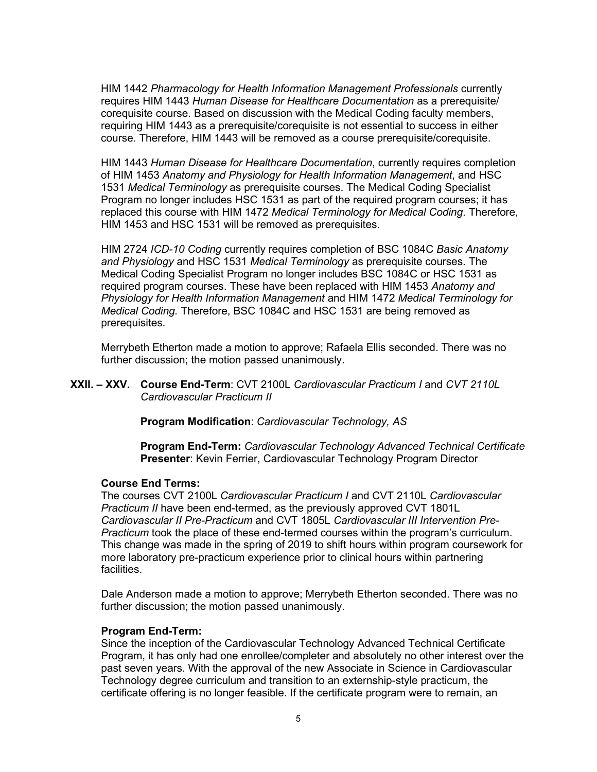HIM 1442 *Pharmacology for Health Information Management Professionals* currently requires HIM 1443 *Human Disease for Healthcare Documentation* as a prerequisite/ corequisite course. Based on discussion with the Medical Coding faculty members, requiring HIM 1443 as a prerequisite/corequisite is not essential to success in either course. Therefore, HIM 1443 will be removed as a course prerequisite/corequisite.

HIM 1443 *Human Disease for Healthcare Documentation*, currently requires completion of HIM 1453 *Anatomy and Physiology for Health Information Management*, and HSC 1531 *Medical Terminology* as prerequisite courses. The Medical Coding Specialist Program no longer includes HSC 1531 as part of the required program courses; it has replaced this course with HIM 1472 *Medical Terminology for Medical Coding*. Therefore, HIM 1453 and HSC 1531 will be removed as prerequisites.

HIM 2724 *ICD-10 Coding* currently requires completion of BSC 1084C *Basic Anatomy and Physiology* and HSC 1531 *Medical Terminology* as prerequisite courses. The Medical Coding Specialist Program no longer includes BSC 1084C or HSC 1531 as required program courses. These have been replaced with HIM 1453 *Anatomy and Physiology for Health Information Management* and HIM 1472 *Medical Terminology for Medical Coding.* Therefore, BSC 1084C and HSC 1531 are being removed as prerequisites.

Merrybeth Etherton made a motion to approve; Rafaela Ellis seconded. There was no further discussion; the motion passed unanimously.

**XXII. – XXV. Course End-Term**: CVT 2100L *Cardiovascular Practicum I* and *CVT 2110L Cardiovascular Practicum II*

**Program Modification**: *Cardiovascular Technology, AS*

**Program End-Term:** *Cardiovascular Technology Advanced Technical Certificate* **Presenter**: Kevin Ferrier, Cardiovascular Technology Program Director

## **Course End Terms:**

The courses CVT 2100L *Cardiovascular Practicum I* and CVT 2110L *Cardiovascular Practicum II* have been end-termed, as the previously approved CVT 1801L *Cardiovascular II Pre-Practicum* and CVT 1805L *Cardiovascular III Intervention Pre-Practicum* took the place of these end-termed courses within the program's curriculum. This change was made in the spring of 2019 to shift hours within program coursework for more laboratory pre-practicum experience prior to clinical hours within partnering facilities.

Dale Anderson made a motion to approve; Merrybeth Etherton seconded. There was no further discussion; the motion passed unanimously.

#### **Program End-Term:**

Since the inception of the Cardiovascular Technology Advanced Technical Certificate Program, it has only had one enrollee/completer and absolutely no other interest over the past seven years. With the approval of the new Associate in Science in Cardiovascular Technology degree curriculum and transition to an externship-style practicum, the certificate offering is no longer feasible. If the certificate program were to remain, an